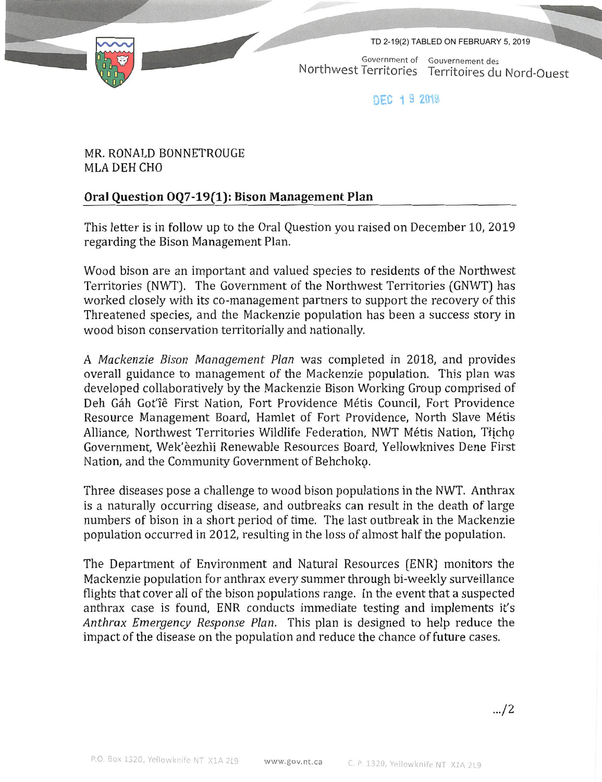TD 2-19(2) TABLED ON FEBRUARY 5, 2019

r



Government of Gouvernement des Northwest Territories Territoires du Nord-Ouest

DFC 19 2019

## MR. RONALD BONNETROUGE MLA DEH CHO

## Oral Question 0Q7-19(1): Bison Management Plan

This letter is in follow up to the Oral Question you raised on December 10, 2019 regarding the Bison Management Plan.

Wood bison are an important and valued species to residents of the Northwest Territories [NWT]. The Government of the Northwest Territories (GNWT] has worked closely with its co-management partners to support the recovery of this Threatened species, and the Mackenzie population has been a success story m wood bison conservation territorially and nationally.

A Mackenzie Bison Management Plan was completed in 2018, and provides overall guidance to management of the Mackenzie population. This plan was developed collaboratively by the Mackenzie Bison Working Group comprised of Deh Gáh Got'îê First Nation, Fort Providence Métis Council, Fort Providence Resource Management Board, Hamlet of Fort Providence, North Slave Metis Alliance, Northwest Territories Wildlife Federation, NWT Métis Nation, Tłicho Government, Wek'eezhii Renewable Resources Board, Yellowknives Dene First Nation, and the Community Government of Behchokg.

Three diseases pose a challenge to wood bison populations in the NWT. Anthrax is a naturally occurring disease, and outbreaks can result in the death of large numbers of bison in a short period of time. The last outbreak in the Mackenzie population occurred in 2012, resulting in the loss of almost half the population.

The Department of Environment and Natural Resources (ENR] monitors the Mackenzie population for anthrax every summer through bi-weekly surveillance flights that cover all of the bison populations range. In the event that a suspected anthrax case is found, ENR conducts immediate testing and implements it's Anthrax Emergency Response Plan. This plan is designed to help reduce the impact of the disease on the population and reduce the chance of future cases.

.../2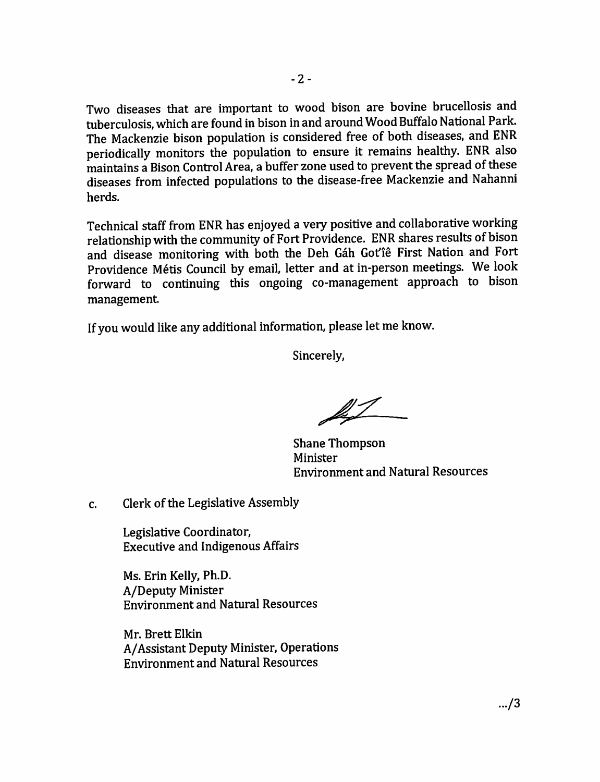Two diseases that are important to wood bison are bovine brucellosis and tuberculosis, which are found in bison in and around Wood Buffalo National Park. The Mackenzie bison population is considered free of both diseases, and ENR periodically monitors the population to ensure it remains healthy. ENR also maintains a Bison Control Area, a buffer zone used to prevent the spread of these diseases from infected populations to the disease-free Mackenzie and Nahanni herds.

Technical staff from ENR has enjoyed a very positive and collaborative working relationship with the community of Fort Providence. ENR shares results of bison and disease monitoring with both the Deh Gah Got'ie First Nation and Fort Providence Metis Council by email, letter and at in-person meetings. We look forward to continuing this ongoing co-management approach to bison management.

If you would like any additional information, please let me know.

Sincerely,

Shane Thompson Minister Environment and Natural Resources

c. Clerk of the Legislative Assembly

Legislative Coordinator, Executive and Indigenous Affairs

Ms. Erin Kelly, Ph.D. A/Deputy Minister Environment and Natural Resources

Mr. Brett Elkin A/Assistant Deputy Minister, Operations Environment and Natural Resources